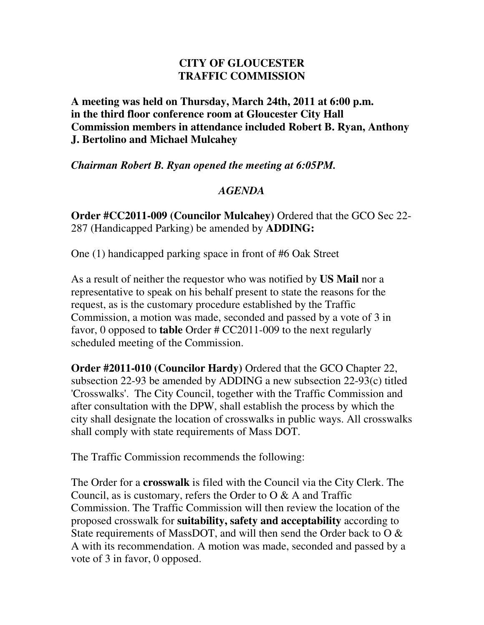## **CITY OF GLOUCESTER TRAFFIC COMMISSION**

**A meeting was held on Thursday, March 24th, 2011 at 6:00 p.m. in the third floor conference room at Gloucester City Hall Commission members in attendance included Robert B. Ryan, Anthony J. Bertolino and Michael Mulcahey** 

*Chairman Robert B. Ryan opened the meeting at 6:05PM.* 

## *AGENDA*

**Order #CC2011-009 (Councilor Mulcahey)** Ordered that the GCO Sec 22- 287 (Handicapped Parking) be amended by **ADDING:** 

One (1) handicapped parking space in front of #6 Oak Street

As a result of neither the requestor who was notified by **US Mail** nor a representative to speak on his behalf present to state the reasons for the request, as is the customary procedure established by the Traffic Commission, a motion was made, seconded and passed by a vote of 3 in favor, 0 opposed to **table** Order # CC2011-009 to the next regularly scheduled meeting of the Commission.

**Order #2011-010 (Councilor Hardy)** Ordered that the GCO Chapter 22, subsection 22-93 be amended by ADDING a new subsection 22-93(c) titled 'Crosswalks'. The City Council, together with the Traffic Commission and after consultation with the DPW, shall establish the process by which the city shall designate the location of crosswalks in public ways. All crosswalks shall comply with state requirements of Mass DOT.

The Traffic Commission recommends the following:

The Order for a **crosswalk** is filed with the Council via the City Clerk. The Council, as is customary, refers the Order to  $\alpha \& A$  and Traffic Commission. The Traffic Commission will then review the location of the proposed crosswalk for **suitability, safety and acceptability** according to State requirements of MassDOT, and will then send the Order back to O & A with its recommendation. A motion was made, seconded and passed by a vote of 3 in favor, 0 opposed.